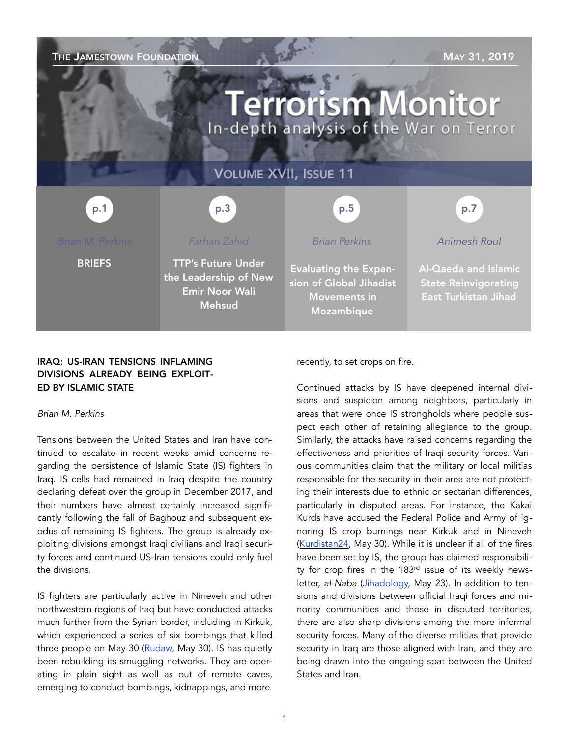| THE JAMESTOWN FOUNDATION<br>MAY 31, 2019<br><b>Terrorism Monitor</b><br>In-depth analysis of the War on Terror |                                                                                              |                                                                                              |                                                                                    |
|----------------------------------------------------------------------------------------------------------------|----------------------------------------------------------------------------------------------|----------------------------------------------------------------------------------------------|------------------------------------------------------------------------------------|
| <b>VOLUME XVII, ISSUE 11</b>                                                                                   |                                                                                              |                                                                                              |                                                                                    |
| p.1                                                                                                            | p.3                                                                                          | p.5                                                                                          | p.7                                                                                |
| <b>Brian M. Perkins</b>                                                                                        | Farhan Zahid                                                                                 | <b>Brian Perkins</b>                                                                         | <b>Animesh Roul</b>                                                                |
| <b>BRIEFS</b>                                                                                                  | <b>TTP's Future Under</b><br>the Leadership of New<br><b>Emir Noor Wali</b><br><b>Mehsud</b> | <b>Evaluating the Expan-</b><br>sion of Global Jihadist<br><b>Movements in</b><br>Mozambique | Al-Qaeda and Islamic<br><b>State Reinvigorating</b><br><b>East Turkistan Jihad</b> |

## IRAQ: US-IRAN TENSIONS INFLAMING DIVISIONS ALREADY BEING EXPLOIT-ED BY ISLAMIC STATE

#### *Brian M. Perkins*

Tensions between the United States and Iran have continued to escalate in recent weeks amid concerns regarding the persistence of Islamic State (IS) fighters in Iraq. IS cells had remained in Iraq despite the country declaring defeat over the group in December 2017, and their numbers have almost certainly increased significantly following the fall of Baghouz and subsequent exodus of remaining IS fighters. The group is already exploiting divisions amongst Iraqi civilians and Iraqi security forces and continued US-Iran tensions could only fuel the divisions.

IS fighters are particularly active in Nineveh and other northwestern regions of Iraq but have conducted attacks much further from the Syrian border, including in Kirkuk, which experienced a series of six bombings that killed three people on May 30 [\(Rudaw,](http://www.rudaw.net/english/middleeast/iraq/300520193) May 30). IS has quietly been rebuilding its smuggling networks. They are operating in plain sight as well as out of remote caves, emerging to conduct bombings, kidnappings, and more

recently, to set crops on fire.

Continued attacks by IS have deepened internal divisions and suspicion among neighbors, particularly in areas that were once IS strongholds where people suspect each other of retaining allegiance to the group. Similarly, the attacks have raised concerns regarding the effectiveness and priorities of Iraqi security forces. Various communities claim that the military or local militias responsible for the security in their area are not protecting their interests due to ethnic or sectarian differences, particularly in disputed areas. For instance, the Kakai Kurds have accused the Federal Police and Army of ignoring IS crop burnings near Kirkuk and in Nineveh ([Kurdistan24,](https://www.kurdistan24.net/en/news/9de6d573-5255-44b9-81d4-37ec5ed8e8ae) May 30). While it is unclear if all of the fires have been set by IS, the group has claimed responsibility for crop fires in the 183<sup>rd</sup> issue of its weekly newsletter, *al-Naba* ([Jihadology,](https://jihadology.net/2019/05/23/new-issue-of-the-islamic-states-newsletter-al-naba-183/) May 23). In addition to tensions and divisions between official Iraqi forces and minority communities and those in disputed territories, there are also sharp divisions among the more informal security forces. Many of the diverse militias that provide security in Iraq are those aligned with Iran, and they are being drawn into the ongoing spat between the United States and Iran.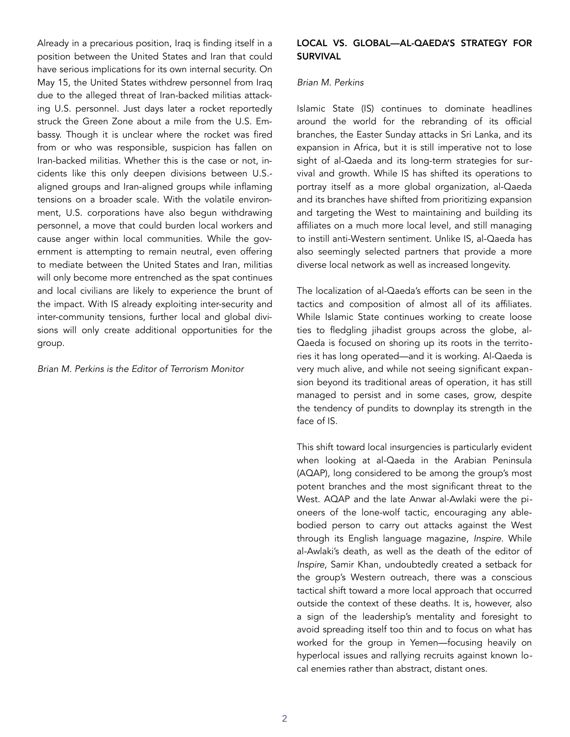Already in a precarious position, Iraq is finding itself in a position between the United States and Iran that could have serious implications for its own internal security. On May 15, the United States withdrew personnel from Iraq due to the alleged threat of Iran-backed militias attacking U.S. personnel. Just days later a rocket reportedly struck the Green Zone about a mile from the U.S. Embassy. Though it is unclear where the rocket was fired from or who was responsible, suspicion has fallen on Iran-backed militias. Whether this is the case or not, incidents like this only deepen divisions between U.S. aligned groups and Iran-aligned groups while inflaming tensions on a broader scale. With the volatile environment, U.S. corporations have also begun withdrawing personnel, a move that could burden local workers and cause anger within local communities. While the government is attempting to remain neutral, even offering to mediate between the United States and Iran, militias will only become more entrenched as the spat continues and local civilians are likely to experience the brunt of the impact. With IS already exploiting inter-security and inter-community tensions, further local and global divisions will only create additional opportunities for the group.

#### *Brian M. Perkins is the Editor of Terrorism Monitor*

### LOCAL VS. GLOBAL—AL-QAEDA'S STRATEGY FOR SURVIVAL

#### *Brian M. Perkins*

Islamic State (IS) continues to dominate headlines around the world for the rebranding of its official branches, the Easter Sunday attacks in Sri Lanka, and its expansion in Africa, but it is still imperative not to lose sight of al-Qaeda and its long-term strategies for survival and growth. While IS has shifted its operations to portray itself as a more global organization, al-Qaeda and its branches have shifted from prioritizing expansion and targeting the West to maintaining and building its affiliates on a much more local level, and still managing to instill anti-Western sentiment. Unlike IS, al-Qaeda has also seemingly selected partners that provide a more diverse local network as well as increased longevity.

The localization of al-Qaeda's efforts can be seen in the tactics and composition of almost all of its affiliates. While Islamic State continues working to create loose ties to fledgling jihadist groups across the globe, al-Qaeda is focused on shoring up its roots in the territories it has long operated—and it is working. Al-Qaeda is very much alive, and while not seeing significant expansion beyond its traditional areas of operation, it has still managed to persist and in some cases, grow, despite the tendency of pundits to downplay its strength in the face of IS.

This shift toward local insurgencies is particularly evident when looking at al-Qaeda in the Arabian Peninsula (AQAP), long considered to be among the group's most potent branches and the most significant threat to the West. AQAP and the late Anwar al-Awlaki were the pioneers of the lone-wolf tactic, encouraging any ablebodied person to carry out attacks against the West through its English language magazine, *Inspire*. While al-Awlaki's death, as well as the death of the editor of *Inspire*, Samir Khan, undoubtedly created a setback for the group's Western outreach, there was a conscious tactical shift toward a more local approach that occurred outside the context of these deaths. It is, however, also a sign of the leadership's mentality and foresight to avoid spreading itself too thin and to focus on what has worked for the group in Yemen—focusing heavily on hyperlocal issues and rallying recruits against known local enemies rather than abstract, distant ones.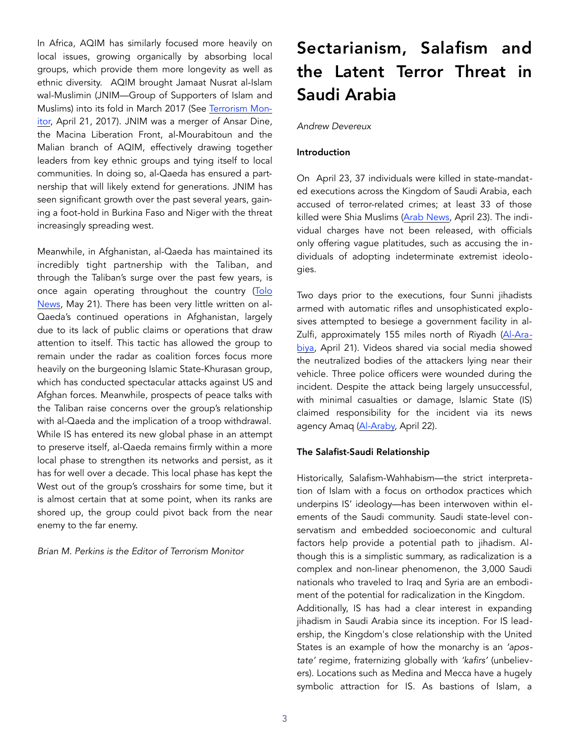In Africa, AQIM has similarly focused more heavily on local issues, growing organically by absorbing local groups, which provide them more longevity as well as ethnic diversity. AQIM brought Jamaat Nusrat al-Islam wal-Muslimin (JNIM—Group of Supporters of Islam and Muslims) into its fold in March 2017 (See [Terrorism Mon](https://jamestown.org/program/aqims-alliance-mali-prospects-jihadist-preeminence-west-africa/)[itor](https://jamestown.org/program/aqims-alliance-mali-prospects-jihadist-preeminence-west-africa/), April 21, 2017). JNIM was a merger of Ansar Dine, the Macina Liberation Front, al-Mourabitoun and the Malian branch of AQIM, effectively drawing together leaders from key ethnic groups and tying itself to local communities. In doing so, al-Qaeda has ensured a partnership that will likely extend for generations. JNIM has seen significant growth over the past several years, gaining a foot-hold in Burkina Faso and Niger with the threat increasingly spreading west.

Meanwhile, in Afghanistan, al-Qaeda has maintained its incredibly tight partnership with the Taliban, and through the Taliban's surge over the past few years, is once again operating throughout the country ([Tolo](https://www.tolonews.com/afghanistan/al-qaeda-elements-are-seen-parts-afghanistan-miller)  [News,](https://www.tolonews.com/afghanistan/al-qaeda-elements-are-seen-parts-afghanistan-miller) May 21). There has been very little written on al-Qaeda's continued operations in Afghanistan, largely due to its lack of public claims or operations that draw attention to itself. This tactic has allowed the group to remain under the radar as coalition forces focus more heavily on the burgeoning Islamic State-Khurasan group, which has conducted spectacular attacks against US and Afghan forces. Meanwhile, prospects of peace talks with the Taliban raise concerns over the group's relationship with al-Qaeda and the implication of a troop withdrawal. While IS has entered its new global phase in an attempt to preserve itself, al-Qaeda remains firmly within a more local phase to strengthen its networks and persist, as it has for well over a decade. This local phase has kept the West out of the group's crosshairs for some time, but it is almost certain that at some point, when its ranks are shored up, the group could pivot back from the near enemy to the far enemy.

*Brian M. Perkins is the Editor of Terrorism Monitor* 

# Sectarianism, Salafism and the Latent Terror Threat in Saudi Arabia

## *Andrew Devereux*

### Introduction

On April 23, 37 individuals were killed in state-mandated executions across the Kingdom of Saudi Arabia, each accused of terror-related crimes; at least 33 of those killed were Shia Muslims ([Arab News,](http://www.arabnews.com/node/1486976/saudi-arabia) April 23). The individual charges have not been released, with officials only offering vague platitudes, such as accusing the individuals of adopting indeterminate extremist ideologies.

Two days prior to the executions, four Sunni jihadists armed with automatic rifles and unsophisticated explosives attempted to besiege a government facility in al-Zulfi, approximately 155 miles north of Riyadh ([Al-Ara](https://english.alarabiya.net/en/News/gulf/2019/04/21/Saudi-Arabia-foils-terrorist-attack-north-of-Riyad)[biya,](https://english.alarabiya.net/en/News/gulf/2019/04/21/Saudi-Arabia-foils-terrorist-attack-north-of-Riyad) April 21). Videos shared via social media showed the neutralized bodies of the attackers lying near their vehicle. Three police officers were wounded during the incident. Despite the attack being largely unsuccessful, with minimal casualties or damage, Islamic State (IS) claimed responsibility for the incident via its news agency Amaq ([Al-Araby,](https://www.alaraby.co.uk/english/news/2019/4/22/foiled-saudi-security-base-attack-claimed-by-is) April 22).

## The Salafist-Saudi Relationship

Historically, Salafism-Wahhabism—the strict interpretation of Islam with a focus on orthodox practices which underpins IS' ideology—has been interwoven within elements of the Saudi community. Saudi state-level conservatism and embedded socioeconomic and cultural factors help provide a potential path to jihadism. Although this is a simplistic summary, as radicalization is a complex and non-linear phenomenon, the 3,000 Saudi nationals who traveled to Iraq and Syria are an embodiment of the potential for radicalization in the Kingdom. Additionally, IS has had a clear interest in expanding jihadism in Saudi Arabia since its inception. For IS leadership, the Kingdom's close relationship with the United States is an example of how the monarchy is an *'apostate'* regime, fraternizing globally with *'kafirs'* (unbelievers). Locations such as Medina and Mecca have a hugely symbolic attraction for IS. As bastions of Islam, a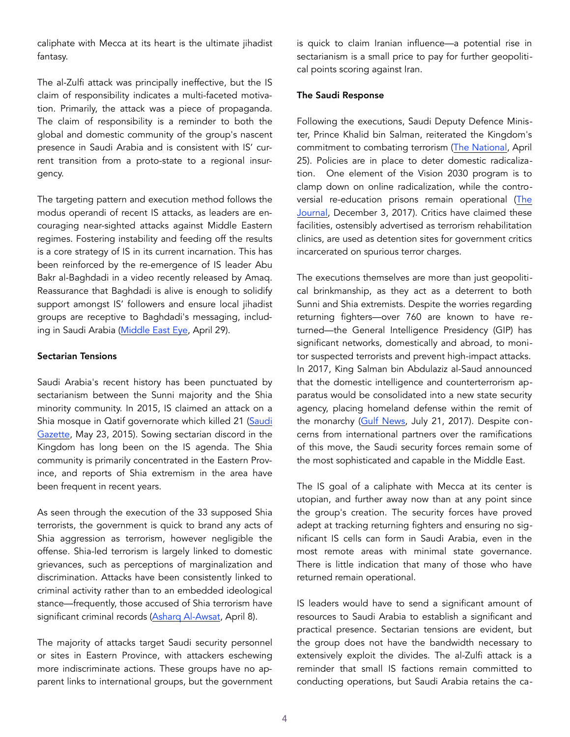caliphate with Mecca at its heart is the ultimate jihadist fantasy.

The al-Zulfi attack was principally ineffective, but the IS claim of responsibility indicates a multi-faceted motivation. Primarily, the attack was a piece of propaganda. The claim of responsibility is a reminder to both the global and domestic community of the group's nascent presence in Saudi Arabia and is consistent with IS' current transition from a proto-state to a regional insurgency.

The targeting pattern and execution method follows the modus operandi of recent IS attacks, as leaders are encouraging near-sighted attacks against Middle Eastern regimes. Fostering instability and feeding off the results is a core strategy of IS in its current incarnation. This has been reinforced by the re-emergence of IS leader Abu Bakr al-Baghdadi in a video recently released by Amaq. Reassurance that Baghdadi is alive is enough to solidify support amongst IS' followers and ensure local jihadist groups are receptive to Baghdadi's messaging, including in Saudi Arabia ([Middle East Eye,](https://www.middleeasteye.net/news/is) April 29).

#### Sectarian Tensions

Saudi Arabia's recent history has been punctuated by sectarianism between the Sunni majority and the Shia minority community. In 2015, IS claimed an attack on a Shia mosque in Qatif governorate which killed 21 (Saudi [Gazette,](https://web.archive.org/web/20150524173638/http:/www.saudigazette.com.sa/index.cfm?method=home.regcon&contentid=20150523244748) May 23, 2015). Sowing sectarian discord in the Kingdom has long been on the IS agenda. The Shia community is primarily concentrated in the Eastern Province, and reports of Shia extremism in the area have been frequent in recent years.

As seen through the execution of the 33 supposed Shia terrorists, the government is quick to brand any acts of Shia aggression as terrorism, however negligible the offense. Shia-led terrorism is largely linked to domestic grievances, such as perceptions of marginalization and discrimination. Attacks have been consistently linked to criminal activity rather than to an embedded ideological stance—frequently, those accused of Shia terrorism have significant criminal records (Asharg Al-Awsat, April 8).

The majority of attacks target Saudi security personnel or sites in Eastern Province, with attackers eschewing more indiscriminate actions. These groups have no apparent links to international groups, but the government is quick to claim Iranian influence—a potential rise in sectarianism is a small price to pay for further geopolitical points scoring against Iran.

#### The Saudi Response

Following the executions, Saudi Deputy Defence Minister, Prince Khalid bin Salman, reiterated the Kingdom's commitment to combating terrorism [\(The National,](https://www.thenational.ae/world/mena/saudi-deputy-defence-minister-says-kingdom-will-combat-terrorism-at-any-cost-1.853468) April 25). Policies are in place to deter domestic radicalization. One element of the Vision 2030 program is to clamp down on online radicalization, while the controversial re-education prisons remain operational (The [Journal,](https://www.thejournal.ie/saudi-arabia-rehab-ce) December 3, 2017). Critics have claimed these facilities, ostensibly advertised as terrorism rehabilitation clinics, are used as detention sites for government critics incarcerated on spurious terror charges.

The executions themselves are more than just geopolitical brinkmanship, as they act as a deterrent to both Sunni and Shia extremists. Despite the worries regarding returning fighters—over 760 are known to have returned—the General Intelligence Presidency (GIP) has significant networks, domestically and abroad, to monitor suspected terrorists and prevent high-impact attacks. In 2017, King Salman bin Abdulaziz al-Saud announced that the domestic intelligence and counterterrorism apparatus would be consolidated into a new state security agency, placing homeland defense within the remit of the monarchy ([Gulf News,](https://gulfnews.com/world/gulf/saudi/saudi-king-overhauls-security-service-1.2062063) July 21, 2017). Despite concerns from international partners over the ramifications of this move, the Saudi security forces remain some of the most sophisticated and capable in the Middle East.

The IS goal of a caliphate with Mecca at its center is utopian, and further away now than at any point since the group's creation. The security forces have proved adept at tracking returning fighters and ensuring no significant IS cells can form in Saudi Arabia, even in the most remote areas with minimal state governance. There is little indication that many of those who have returned remain operational.

IS leaders would have to send a significant amount of resources to Saudi Arabia to establish a significant and practical presence. Sectarian tensions are evident, but the group does not have the bandwidth necessary to extensively exploit the divides. The al-Zulfi attack is a reminder that small IS factions remain committed to conducting operations, but Saudi Arabia retains the ca-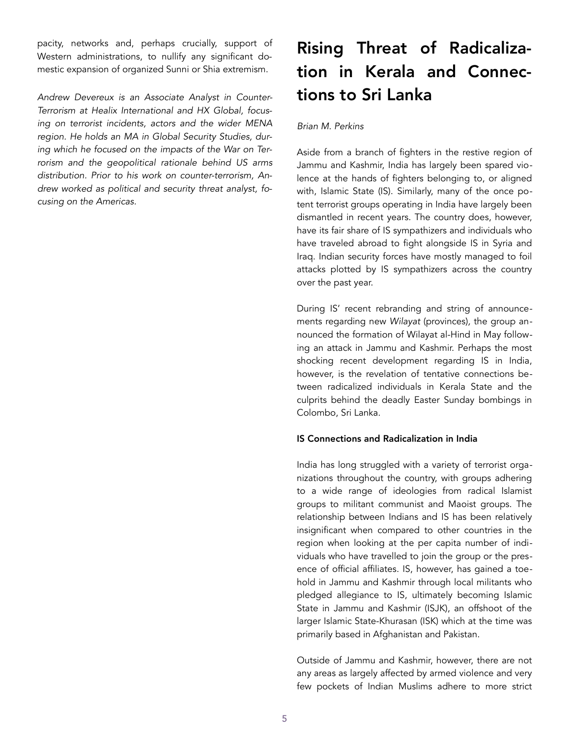pacity, networks and, perhaps crucially, support of Western administrations, to nullify any significant domestic expansion of organized Sunni or Shia extremism.

*Andrew Devereux is an Associate Analyst in Counter-Terrorism at Healix International and HX Global, focusing on terrorist incidents, actors and the wider MENA region. He holds an MA in Global Security Studies, during which he focused on the impacts of the War on Terrorism and the geopolitical rationale behind US arms distribution. Prior to his work on counter-terrorism, Andrew worked as political and security threat analyst, focusing on the Americas.* 

# Rising Threat of Radicalization in Kerala and Connections to Sri Lanka

### *Brian M. Perkins*

Aside from a branch of fighters in the restive region of Jammu and Kashmir, India has largely been spared violence at the hands of fighters belonging to, or aligned with, Islamic State (IS). Similarly, many of the once potent terrorist groups operating in India have largely been dismantled in recent years. The country does, however, have its fair share of IS sympathizers and individuals who have traveled abroad to fight alongside IS in Syria and Iraq. Indian security forces have mostly managed to foil attacks plotted by IS sympathizers across the country over the past year.

During IS' recent rebranding and string of announcements regarding new *Wilayat* (provinces)*,* the group announced the formation of Wilayat al-Hind in May following an attack in Jammu and Kashmir. Perhaps the most shocking recent development regarding IS in India, however, is the revelation of tentative connections between radicalized individuals in Kerala State and the culprits behind the deadly Easter Sunday bombings in Colombo, Sri Lanka.

#### IS Connections and Radicalization in India

India has long struggled with a variety of terrorist organizations throughout the country, with groups adhering to a wide range of ideologies from radical Islamist groups to militant communist and Maoist groups. The relationship between Indians and IS has been relatively insignificant when compared to other countries in the region when looking at the per capita number of individuals who have travelled to join the group or the presence of official affiliates. IS, however, has gained a toehold in Jammu and Kashmir through local militants who pledged allegiance to IS, ultimately becoming Islamic State in Jammu and Kashmir (ISJK), an offshoot of the larger Islamic State-Khurasan (ISK) which at the time was primarily based in Afghanistan and Pakistan.

Outside of Jammu and Kashmir, however, there are not any areas as largely affected by armed violence and very few pockets of Indian Muslims adhere to more strict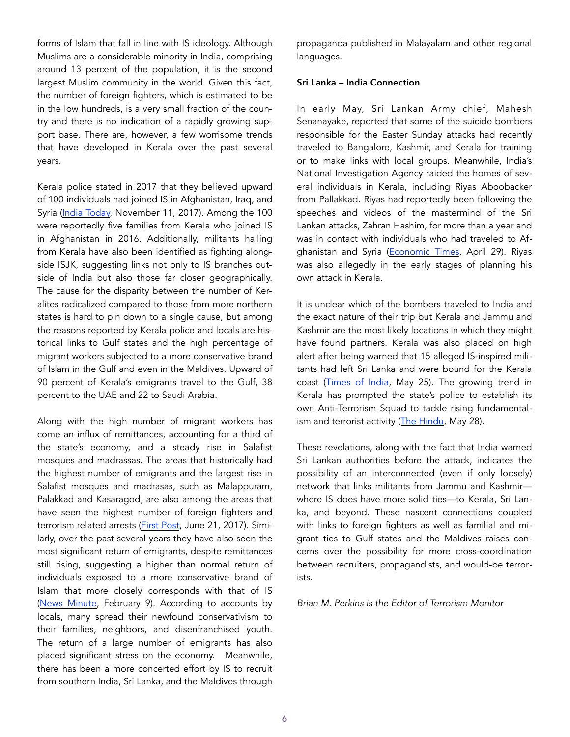forms of Islam that fall in line with IS ideology. Although Muslims are a considerable minority in India, comprising around 13 percent of the population, it is the second largest Muslim community in the world. Given this fact, the number of foreign fighters, which is estimated to be in the low hundreds, is a very small fraction of the country and there is no indication of a rapidly growing support base. There are, however, a few worrisome trends that have developed in Kerala over the past several years.

Kerala police stated in 2017 that they believed upward of 100 individuals had joined IS in Afghanistan, Iraq, and Syria [\(India Today,](https://www.indiatoday.in/india/story/about-100-keralites-suspected-to-have-joined-isis-police-1084495-2017-11-11) November 11, 2017). Among the 100 were reportedly five families from Kerala who joined IS in Afghanistan in 2016. Additionally, militants hailing from Kerala have also been identified as fighting alongside ISJK, suggesting links not only to IS branches outside of India but also those far closer geographically. The cause for the disparity between the number of Keralites radicalized compared to those from more northern states is hard to pin down to a single cause, but among the reasons reported by Kerala police and locals are historical links to Gulf states and the high percentage of migrant workers subjected to a more conservative brand of Islam in the Gulf and even in the Maldives. Upward of 90 percent of Kerala's emigrants travel to the Gulf, 38 percent to the UAE and 22 to Saudi Arabia.

Along with the high number of migrant workers has come an influx of remittances, accounting for a third of the state's economy, and a steady rise in Salafist mosques and madrassas. The areas that historically had the highest number of emigrants and the largest rise in Salafist mosques and madrasas, such as Malappuram, Palakkad and Kasaragod, are also among the areas that have seen the highest number of foreign fighters and terrorism related arrests ([First Post,](https://www.firstpost.com/long-reads/the-promised-land-gulf-lur) June 21, 2017). Similarly, over the past several years they have also seen the most significant return of emigrants, despite remittances still rising, suggesting a higher than normal return of individuals exposed to a more conservative brand of Islam that more closely corresponds with that of IS ([News Minute,](https://www.thenewsminute.com/article/data-shows-rise-number-emigrants-returning-kerala-should-state-worry-96484) February 9). According to accounts by locals, many spread their newfound conservativism to their families, neighbors, and disenfranchised youth. The return of a large number of emigrants has also placed significant stress on the economy. Meanwhile, there has been a more concerted effort by IS to recruit from southern India, Sri Lanka, and the Maldives through

propaganda published in Malayalam and other regional languages.

#### Sri Lanka – India Connection

In early May, Sri Lankan Army chief, Mahesh Senanayake, reported that some of the suicide bombers responsible for the Easter Sunday attacks had recently traveled to Bangalore, Kashmir, and Kerala for training or to make links with local groups. Meanwhile, India's National Investigation Agency raided the homes of several individuals in Kerala, including Riyas Aboobacker from Pallakkad. Riyas had reportedly been following the speeches and videos of the mastermind of the Sri Lankan attacks, Zahran Hashim, for more than a year and was in contact with individuals who had traveled to Afghanistan and Syria [\(Economic Times,](https://economictimes.indiatimes.com/news/defence/a-suspect-arrested-by-nia-from-kerala-has-admitted-to-be-following-sri-lankan-bomber-zahran-hashim/articleshow/69101997.cms) April 29). Riyas was also allegedly in the early stages of planning his own attack in Kerala.

It is unclear which of the bombers traveled to India and the exact nature of their trip but Kerala and Jammu and Kashmir are the most likely locations in which they might have found partners. Kerala was also placed on high alert after being warned that 15 alleged IS-inspired militants had left Sri Lanka and were bound for the Kerala coast ([Times of India,](https://timesofindia.indiatimes.com/india/kerala-coast-on-high-alert/articleshow/69499788.cms) May 25). The growing trend in Kerala has prompted the state's police to establish its own Anti-Terrorism Squad to tackle rising fundamental-ism and terrorist activity ([The Hindu,](https://www.thehindu.com/news/national/kerala/kerala-police-to-form-anti-terrorist-squad/article27277223.ece) May 28).

These revelations, along with the fact that India warned Sri Lankan authorities before the attack, indicates the possibility of an interconnected (even if only loosely) network that links militants from Jammu and Kashmir where IS does have more solid ties—to Kerala, Sri Lanka, and beyond. These nascent connections coupled with links to foreign fighters as well as familial and migrant ties to Gulf states and the Maldives raises concerns over the possibility for more cross-coordination between recruiters, propagandists, and would-be terrorists.

*Brian M. Perkins is the Editor of Terrorism Monitor*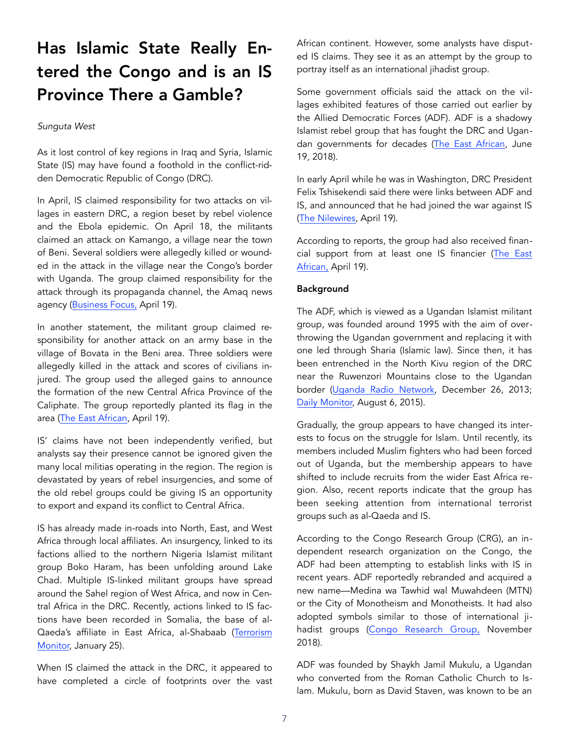## Has Islamic State Really Entered the Congo and is an IS Province There a Gamble?

#### *Sunguta West*

As it lost control of key regions in Iraq and Syria, Islamic State (IS) may have found a foothold in the conflict-ridden Democratic Republic of Congo (DRC).

In April, IS claimed responsibility for two attacks on villages in eastern DRC, a region beset by rebel violence and the Ebola epidemic. On April 18, the militants claimed an attack on Kamango, a village near the town of Beni. Several soldiers were allegedly killed or wounded in the attack in the village near the Congo's border with Uganda. The group claimed responsibility for the attack through its propaganda channel, the Amaq news agency [\(Business Focus,](https://businessfocus.co.ug/shock-isis-claims-first-drc-attack-as-two-soldiers-are-killed/) April 19).

In another statement, the militant group claimed responsibility for another attack on an army base in the village of Bovata in the Beni area. Three soldiers were allegedly killed in the attack and scores of civilians injured. The group used the alleged gains to announce the formation of the new Central Africa Province of the Caliphate. The group reportedly planted its flag in the area [\(The East African,](https://www.theeastafrican.co.ke/news/africa/Islamic-State-claims-its-first-Congo-attack/4552902-5078826-r8por/index.html) April 19).

IS' claims have not been independently verified, but analysts say their presence cannot be ignored given the many local militias operating in the region. The region is devastated by years of rebel insurgencies, and some of the old rebel groups could be giving IS an opportunity to export and expand its conflict to Central Africa.

IS has already made in-roads into North, East, and West Africa through local affiliates. An insurgency, linked to its factions allied to the northern Nigeria Islamist militant group Boko Haram, has been unfolding around Lake Chad. Multiple IS-linked militant groups have spread around the Sahel region of West Africa, and now in Central Africa in the DRC. Recently, actions linked to IS factions have been recorded in Somalia, the base of al-Qaeda's affiliate in East Africa, al-Shabaab ([Terrorism](https://james)  [Monitor,](https://james) January 25).

When IS claimed the attack in the DRC, it appeared to have completed a circle of footprints over the vast African continent. However, some analysts have disputed IS claims. They see it as an attempt by the group to portray itself as an international jihadist group.

Some government officials said the attack on the villages exhibited features of those carried out earlier by the Allied Democratic Forces (ADF). ADF is a shadowy Islamist rebel group that has fought the DRC and Ugandan governments for decades ([The East African,](https://www.theeastafrican.co.ke/news/ea/Understanding-the-resurgence-of-ADF-rebel-group-in-Uganda/4552908-4620038-not2vxz/index.html) June 19, 2018).

In early April while he was in Washington, DRC President Felix Tshisekendi said there were links between ADF and IS, and announced that he had joined the war against IS ([The Nilewires,](https://thenilewires.com/news/regional/isis-claims-first-ever-attack-in-congo/) April 19).

According to reports, the group had also received financial support from at least one IS financier ([The East](https://www.theeastafrican.co.ke/news/africa/Islamic-State-claims-its-first-Congo-attack/4552902-5078826-r8por/index)  [African,](https://www.theeastafrican.co.ke/news/africa/Islamic-State-claims-its-first-Congo-attack/4552902-5078826-r8por/index) April 19).

#### Background

The ADF, which is viewed as a Ugandan Islamist militant group, was founded around 1995 with the aim of overthrowing the Ugandan government and replacing it with one led through Sharia (Islamic law). Since then, it has been entrenched in the North Kivu region of the DRC near the Ruwenzori Mountains close to the Ugandan border ([Uganda Radio Network,](http://ugandaradionetwork.com.dedi3883.your-server.de/a/story.php?s=59455) December 26, 2013; Daily Monitor, August 6, 2015).

Gradually, the group appears to have changed its interests to focus on the struggle for Islam. Until recently, its members included Muslim fighters who had been forced out of Uganda, but the membership appears to have shifted to include recruits from the wider East Africa region. Also, recent reports indicate that the group has been seeking attention from international terrorist groups such as al-Qaeda and IS.

According to the Congo Research Group (CRG), an independent research organization on the Congo, the ADF had been attempting to establish links with IS in recent years. ADF reportedly rebranded and acquired a new name—Medina wa Tawhid wal Muwahdeen (MTN) or the City of Monotheism and Monotheists. It had also adopted symbols similar to those of international ji-hadist groups ([Congo Research Group,](https://insidetheadf.org/wp-content/uploads/2018/11/I) November 2018).

ADF was founded by Shaykh Jamil Mukulu, a Ugandan who converted from the Roman Catholic Church to Islam. Mukulu, born as David Staven, was known to be an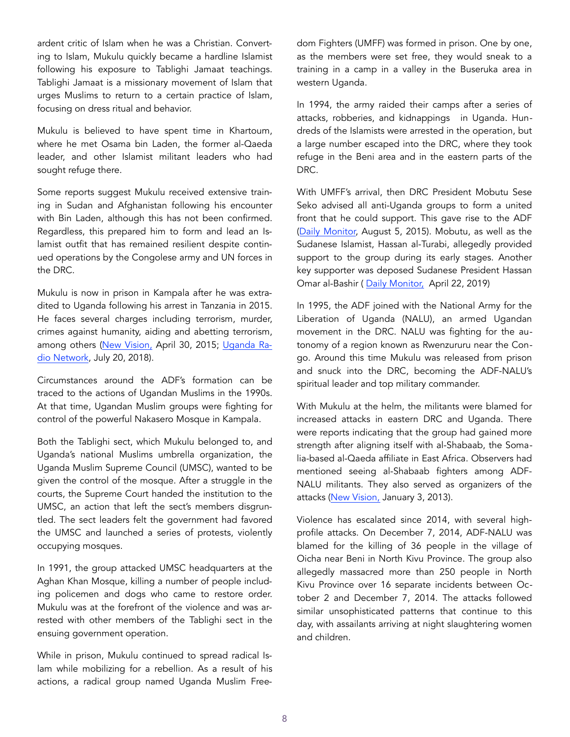ardent critic of Islam when he was a Christian. Converting to Islam, Mukulu quickly became a hardline Islamist following his exposure to Tablighi Jamaat teachings. Tablighi Jamaat is a missionary movement of Islam that urges Muslims to return to a certain practice of Islam, focusing on dress ritual and behavior.

Mukulu is believed to have spent time in Khartoum, where he met Osama bin Laden, the former al-Qaeda leader, and other Islamist militant leaders who had sought refuge there.

Some reports suggest Mukulu received extensive training in Sudan and Afghanistan following his encounter with Bin Laden, although this has not been confirmed. Regardless, this prepared him to form and lead an Islamist outfit that has remained resilient despite continued operations by the Congolese army and UN forces in the DRC.

Mukulu is now in prison in Kampala after he was extradited to Uganda following his arrest in Tanzania in 2015. He faces several charges including terrorism, murder, crimes against humanity, aiding and abetting terrorism, among others ([New Vision,](https://www.newvision.co.ug/new_vision/news/1324970/confirmed-adf-chief-jamil-mukulu-arrested) April 30, 2015; [Uganda Ra](https://ugandaradionetwork.net/story/dpp-amends-jamil-mukulus-charge-sheet)[dio Network](https://ugandaradionetwork.net/story/dpp-amends-jamil-mukulus-charge-sheet), July 20, 2018).

Circumstances around the ADF's formation can be traced to the actions of Ugandan Muslims in the 1990s. At that time, Ugandan Muslim groups were fighting for control of the powerful Nakasero Mosque in Kampala.

Both the Tablighi sect, which Mukulu belonged to, and Uganda's national Muslims umbrella organization, the Uganda Muslim Supreme Council (UMSC), wanted to be given the control of the mosque. After a struggle in the courts, the Supreme Court handed the institution to the UMSC, an action that left the sect's members disgruntled. The sect leaders felt the government had favored the UMSC and launched a series of protests, violently occupying mosques.

In 1991, the group attacked UMSC headquarters at the Aghan Khan Mosque, killing a number of people including policemen and dogs who came to restore order. Mukulu was at the forefront of the violence and was arrested with other members of the Tablighi sect in the ensuing government operation.

While in prison, Mukulu continued to spread radical Islam while mobilizing for a rebellion. As a result of his actions, a radical group named Uganda Muslim Freedom Fighters (UMFF) was formed in prison. One by one, as the members were set free, they would sneak to a training in a camp in a valley in the Buseruka area in western Uganda.

In 1994, the army raided their camps after a series of attacks, robberies, and kidnappings in Uganda. Hundreds of the Islamists were arrested in the operation, but a large number escaped into the DRC, where they took refuge in the Beni area and in the eastern parts of the DRC.

With UMFF's arrival, then DRC President Mobutu Sese Seko advised all anti-Uganda groups to form a united front that he could support. This gave rise to the ADF ([Daily Monitor,](https://www.monitor.co.ug/artsc) August 5, 2015). Mobutu, as well as the Sudanese Islamist, Hassan al-Turabi, allegedly provided support to the group during its early stages. Another key supporter was deposed Sudanese President Hassan Omar al-Bashir ( [Daily Monitor,](https://www.monitor.co.ug/News/National/Museveni-Bashir-From-enemies-friends-/688334-5082098-aep1scz/index.html) April 22, 2019)

In 1995, the ADF joined with the National Army for the Liberation of Uganda (NALU), an armed Ugandan movement in the DRC. NALU was fighting for the autonomy of a region known as Rwenzururu near the Congo. Around this time Mukulu was released from prison and snuck into the DRC, becoming the ADF-NALU's spiritual leader and top military commander.

With Mukulu at the helm, the militants were blamed for increased attacks in eastern DRC and Uganda. There were reports indicating that the group had gained more strength after aligning itself with al-Shabaab, the Somalia-based al-Qaeda affiliate in East Africa. Observers had mentioned seeing al-Shabaab fighters among ADF-NALU militants. They also served as organizers of the attacks ([New Vision,](https://www.newvision.co.ug/new_vision) January 3, 2013).

Violence has escalated since 2014, with several highprofile attacks. On December 7, 2014, ADF-NALU was blamed for the killing of 36 people in the village of Oicha near Beni in North Kivu Province. The group also allegedly massacred more than 250 people in North Kivu Province over 16 separate incidents between October 2 and December 7, 2014. The attacks followed similar unsophisticated patterns that continue to this day, with assailants arriving at night slaughtering women and children.